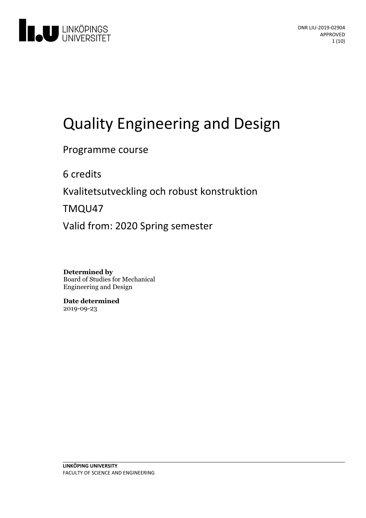

# Quality Engineering and Design

Programme course

6 credits

Kvalitetsutveckling och robust konstruktion

TMQU47

Valid from: 2020 Spring semester

**Determined by** Board of Studies for Mechanical Engineering and Design

**Date determined** 2019-09-23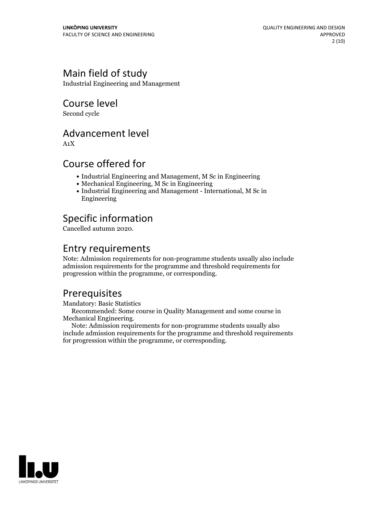### Main field of study

Industrial Engineering and Management

Course level

Second cycle

### Advancement level

A1X

### Course offered for

- Industrial Engineering and Management, M Sc in Engineering
- Mechanical Engineering, M Sc in Engineering
- Industrial Engineering and Management International, M Sc in Engineering

### Specific information

Cancelled autumn 2020.

### Entry requirements

Note: Admission requirements for non-programme students usually also include admission requirements for the programme and threshold requirements for progression within the programme, or corresponding.

### Prerequisites

Mandatory: Basic Statistics

Recommended: Some course in Quality Management and some course in Mechanical Engineering. Note: Admission requirements for non-programme students usually also

include admission requirements for the programme and threshold requirements for progression within the programme, or corresponding.

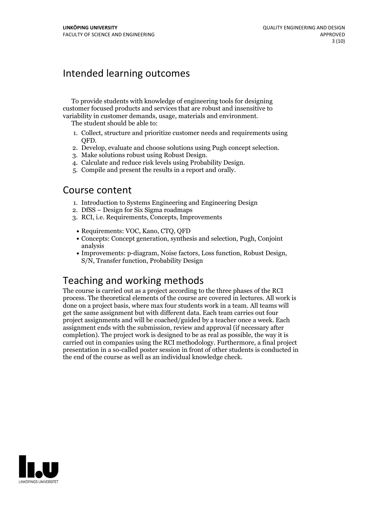### Intended learning outcomes

To provide students with knowledge of engineering tools for designing customer focused products and services that are robust and insensitive to variability in customer demands, usage, materials and environment. The student should be able to:

- 1. Collect, structure and prioritize customer needs and requirements using
- QFD.<br>2. Develop, evaluate and choose solutions using Pugh concept selection.<br>3. Make solutions robust using Robust Design.<br>4. Calculate and reduce risk levels using Probability Design.<br>5. Compile and present the results in
- 
- 
- 

### Course content

- 1. Introduction to Systems Engineering and Engineering Design
- 2. DfSS Design for Six Sigma roadmaps
- 3. RCI, i.e. Requirements, Concepts, Improvements
	- Requirements: VOC, Kano, CTQ, QFD
	- Concepts: Concept generation, synthesis and selection, Pugh, Conjoint analysis
	- Improvements: p-diagram, Noise factors, Loss function, Robust Design, S/N, Transfer function, Probability Design

### Teaching and working methods

The course is carried out as a project according to the three phases of the RCI process. The theoretical elements of the course are covered in lectures. All work is done on a project basis, where max four students work in a team. All teams will get the same assignment but with different data. Each team carries out four project assignments and will be coached/guided by a teacher once a week. Each assignment ends with the submission, review and approval (if necessary after completion). The project work is designed to be as real as possible, the way it is carried out in companies using the RCI methodology. Furthermore, a final project presentation in a so-called poster session in front of other students is conducted in the end of the course as well as an individual knowledge check.

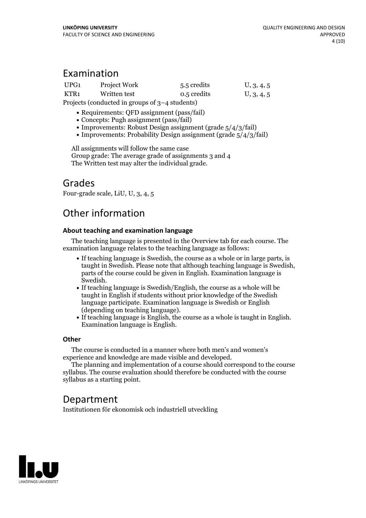### Examination

| UPG1 | Project Work                                     | 5.5 credits | U, 3, 4, 5 |
|------|--------------------------------------------------|-------------|------------|
| KTR1 | Written test                                     | 0.5 credits | U, 3, 4, 5 |
|      | Projects (conducted in groups of $3-4$ students) |             |            |

• Requirements: OFD assignment (pass/fail)

- Concepts: Pugh assignment (pass/fail)
- Improvements: Robust Design assignment (grade  $5/4/3$ /fail)
- Improvements: Probability Design assignment (grade  $5/4/3$ /fail)

All assignments will follow the same case Group grade: The average grade of assignments 3 and 4 The Written test may alter the individual grade.

### Grades

Four-grade scale, LiU, U, 3, 4, 5

### Other information

#### **About teaching and examination language**

The teaching language is presented in the Overview tab for each course. The examination language relates to the teaching language as follows:

- If teaching language is Swedish, the course as a whole or in large parts, is taught in Swedish. Please note that although teaching language is Swedish, parts of the course could be given in English. Examination language is
- $\bullet$  If teaching language is Swedish/English, the course as a whole will be taught in English if students without prior knowledge of the Swedish language participate. Examination language is Swedish or English
- If teaching language is English, the course as a whole is taught in English. Examination language is English.

#### **Other**

The course is conducted in a manner where both men's and women's

experience and knowledge are made visible and developed. The planning and implementation of <sup>a</sup> course should correspond to the course syllabus. The course evaluation should therefore be conducted with the course syllabus as a starting point.

### Department

Institutionen för ekonomisk och industriell utveckling

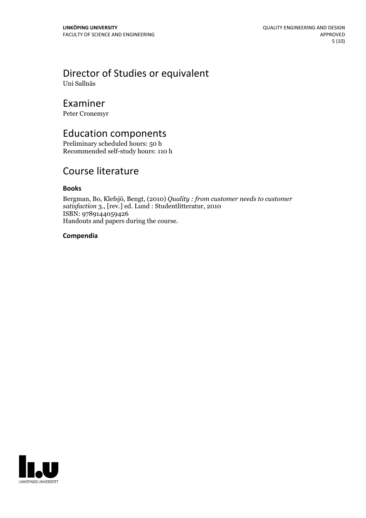## Director of Studies or equivalent

Uni Sallnäs

### Examiner

Peter Cronemyr

### Education components

Preliminary scheduled hours: 50 h Recommended self-study hours: 110 h

### Course literature

#### **Books**

Bergman, Bo, Klefsjö, Bengt, (2010) *Quality : from customer needs to customer satisfaction* 3., [rev.] ed. Lund : Studentlitteratur, 2010 ISBN: 9789144059426 Handouts and papers during the course.

#### **Compendia**

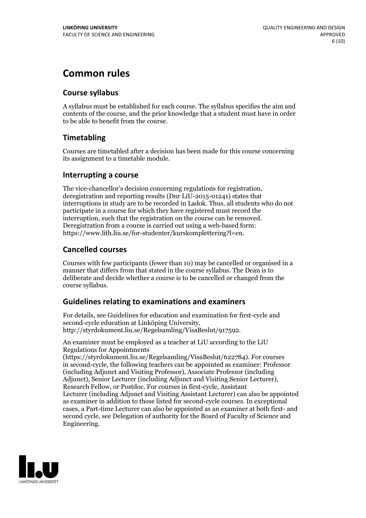### **Common rules**

#### **Course syllabus**

A syllabus must be established for each course. The syllabus specifies the aim and contents of the course, and the prior knowledge that a student must have in order to be able to benefit from the course.

#### **Timetabling**

Courses are timetabled after a decision has been made for this course concerning its assignment to a timetable module.

#### **Interrupting a course**

The vice-chancellor's decision concerning regulations for registration, deregistration and reporting results (Dnr LiU-2015-01241) states that interruptions in study are to be recorded in Ladok. Thus, all students who do not participate in a course for which they have registered must record the interruption, such that the registration on the course can be removed. Deregistration from <sup>a</sup> course is carried outusing <sup>a</sup> web-based form: https://www.lith.liu.se/for-studenter/kurskomplettering?l=en.

#### **Cancelled courses**

Courses with few participants (fewer than 10) may be cancelled or organised in a manner that differs from that stated in the course syllabus. The Dean is to deliberate and decide whether a course is to be cancelled or changed from the course syllabus.

#### **Guidelines relatingto examinations and examiners**

For details, see Guidelines for education and examination for first-cycle and second-cycle education at Linköping University, http://styrdokument.liu.se/Regelsamling/VisaBeslut/917592.

An examiner must be employed as a teacher at LiU according to the LiU Regulations for Appointments

(https://styrdokument.liu.se/Regelsamling/VisaBeslut/622784). For courses in second-cycle, the following teachers can be appointed as examiner: Professor (including Adjunct and Visiting Professor), Associate Professor (including Adjunct), Senior Lecturer (including Adjunct and Visiting Senior Lecturer), Research Fellow, or Postdoc. For courses in first-cycle, Assistant Lecturer (including Adjunct and Visiting Assistant Lecturer) can also be appointed as examiner in addition to those listed for second-cycle courses. In exceptional cases, a Part-time Lecturer can also be appointed as an examiner at both first- and second cycle, see Delegation of authority for the Board of Faculty of Science and Engineering.

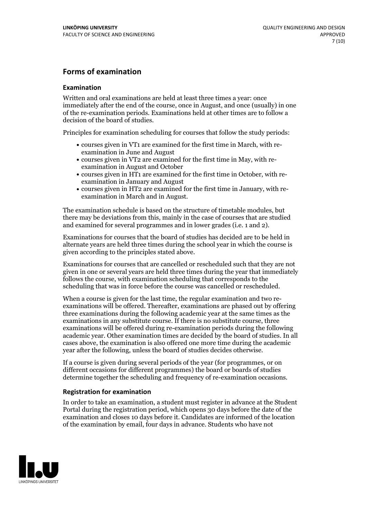#### **Forms of examination**

#### **Examination**

Written and oral examinations are held at least three times a year: once immediately after the end of the course, once in August, and once (usually) in one of the re-examination periods. Examinations held at other times are to follow a decision of the board of studies.

Principles for examination scheduling for courses that follow the study periods:

- courses given in VT1 are examined for the first time in March, with re-examination in June and August
- courses given in VT2 are examined for the first time in May, with re-examination in August and October
- courses given in HT1 are examined for the first time in October, with re-examination in January and August
- courses given in HT2 are examined for the first time in January, with re-examination in March and in August.

The examination schedule is based on the structure of timetable modules, but there may be deviations from this, mainly in the case of courses that are studied and examined for several programmes and in lower grades (i.e. 1 and 2).

Examinations for courses that the board of studies has decided are to be held in alternate years are held three times during the school year in which the course is given according to the principles stated above.

Examinations for courses that are cancelled orrescheduled such that they are not given in one or several years are held three times during the year that immediately follows the course, with examination scheduling that corresponds to the scheduling that was in force before the course was cancelled or rescheduled.

When a course is given for the last time, the regular examination and two re-<br>examinations will be offered. Thereafter, examinations are phased out by offering three examinations during the following academic year at the same times as the examinations in any substitute course. If there is no substitute course, three examinations will be offered during re-examination periods during the following academic year. Other examination times are decided by the board of studies. In all cases above, the examination is also offered one more time during the academic year after the following, unless the board of studies decides otherwise.

If a course is given during several periods of the year (for programmes, or on different occasions for different programmes) the board or boards of studies determine together the scheduling and frequency of re-examination occasions.

#### **Registration for examination**

In order to take an examination, a student must register in advance at the Student Portal during the registration period, which opens 30 days before the date of the examination and closes 10 days before it. Candidates are informed of the location of the examination by email, four days in advance. Students who have not

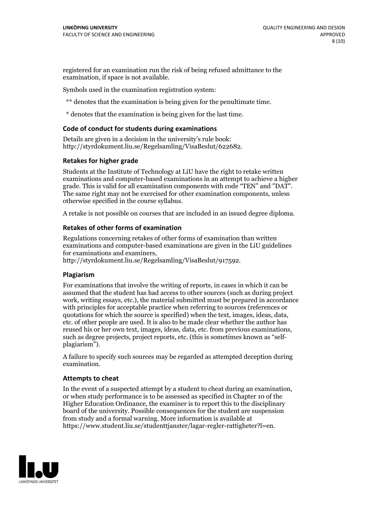registered for an examination run the risk of being refused admittance to the examination, if space is not available.

Symbols used in the examination registration system:

\*\* denotes that the examination is being given for the penultimate time.

\* denotes that the examination is being given for the last time.

#### **Code of conduct for students during examinations**

Details are given in a decision in the university's rule book: http://styrdokument.liu.se/Regelsamling/VisaBeslut/622682.

#### **Retakes for higher grade**

Students at the Institute of Technology at LiU have the right to retake written examinations and computer-based examinations in an attempt to achieve a higher grade. This is valid for all examination components with code "TEN" and "DAT". The same right may not be exercised for other examination components, unless otherwise specified in the course syllabus.

A retake is not possible on courses that are included in an issued degree diploma.

#### **Retakes of other forms of examination**

Regulations concerning retakes of other forms of examination than written examinations and computer-based examinations are given in the LiU guidelines

http://styrdokument.liu.se/Regelsamling/VisaBeslut/917592.

#### **Plagiarism**

For examinations that involve the writing of reports, in cases in which it can be assumed that the student has had access to other sources (such as during project work, writing essays, etc.), the material submitted must be prepared in accordance with principles for acceptable practice when referring to sources (references or quotations for which the source is specified) when the text, images, ideas, data,  $\vec{e}$  etc. of other people are used. It is also to be made clear whether the author has reused his or her own text, images, ideas, data, etc. from previous examinations, such as degree projects, project reports, etc. (this is sometimes known as "self- plagiarism").

A failure to specify such sources may be regarded as attempted deception during examination.

#### **Attempts to cheat**

In the event of <sup>a</sup> suspected attempt by <sup>a</sup> student to cheat during an examination, or when study performance is to be assessed as specified in Chapter <sup>10</sup> of the Higher Education Ordinance, the examiner is to report this to the disciplinary board of the university. Possible consequences for the student are suspension from study and a formal warning. More information is available at https://www.student.liu.se/studenttjanster/lagar-regler-rattigheter?l=en.

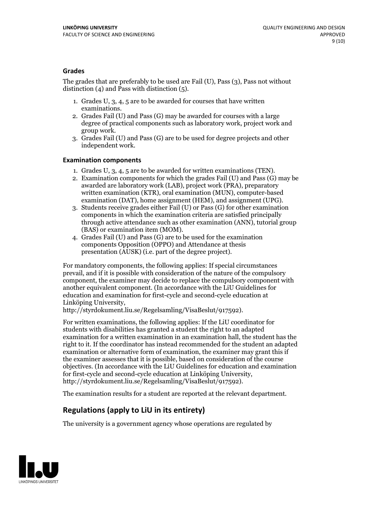#### **Grades**

The grades that are preferably to be used are Fail (U), Pass (3), Pass not without distinction  $(4)$  and Pass with distinction  $(5)$ .

- 1. Grades U, 3, 4, 5 are to be awarded for courses that have written
- examinations. 2. Grades Fail (U) and Pass (G) may be awarded for courses with <sup>a</sup> large degree of practical components such as laboratory work, project work and group work. 3. Grades Fail (U) and Pass (G) are to be used for degree projects and other
- independent work.

#### **Examination components**

- 
- 1. Grades U, 3, 4, <sup>5</sup> are to be awarded for written examinations (TEN). 2. Examination components for which the grades Fail (U) and Pass (G) may be awarded are laboratory work (LAB), project work (PRA), preparatory written examination (KTR), oral examination (MUN), computer-based
- examination (DAT), home assignment (HEM), and assignment (UPG). 3. Students receive grades either Fail (U) or Pass (G) for other examination components in which the examination criteria are satisfied principally through active attendance such as other examination (ANN), tutorial group
- (BAS) or examination item (MOM). 4. Grades Fail (U) and Pass (G) are to be used for the examination components Opposition (OPPO) and Attendance at thesis presentation (AUSK) (i.e. part of the degree project).

For mandatory components, the following applies: If special circumstances prevail, and if it is possible with consideration of the nature of the compulsory component, the examiner may decide to replace the compulsory component with another equivalent component. (In accordance with the LiU Guidelines for education and examination for first-cycle and second-cycle education at Linköping University, http://styrdokument.liu.se/Regelsamling/VisaBeslut/917592).

For written examinations, the following applies: If the LiU coordinator for students with disabilities has granted a student the right to an adapted examination for a written examination in an examination hall, the student has the right to it. If the coordinator has instead recommended for the student an adapted examination or alternative form of examination, the examiner may grant this if the examiner assesses that it is possible, based on consideration of the course objectives. (In accordance with the LiU Guidelines for education and examination for first-cycle and second-cycle education at Linköping University, http://styrdokument.liu.se/Regelsamling/VisaBeslut/917592).

The examination results for a student are reported at the relevant department.

### **Regulations (applyto LiU in its entirety)**

The university is a government agency whose operations are regulated by